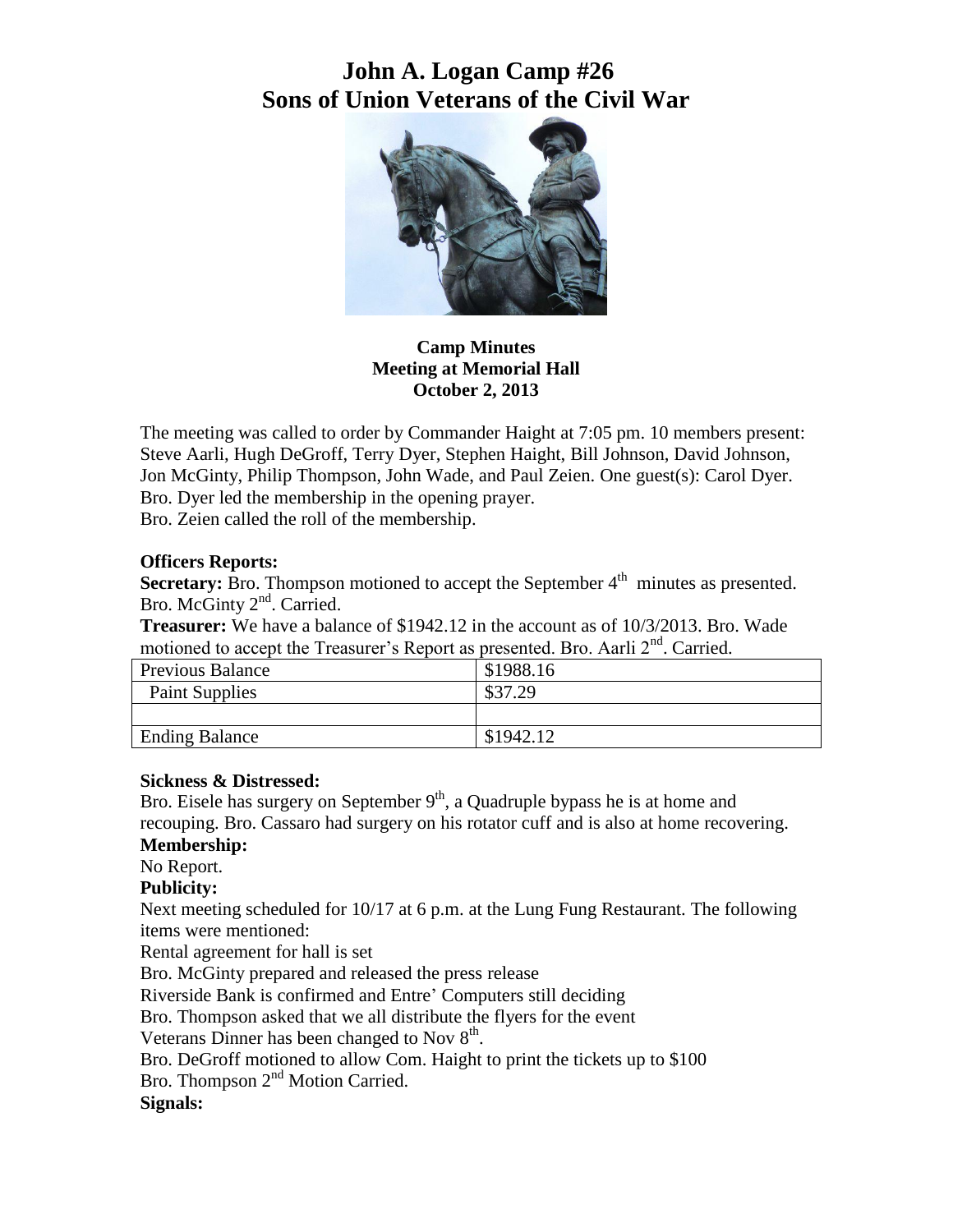# **John A. Logan Camp #26 Sons of Union Veterans of the Civil War**



**Camp Minutes Meeting at Memorial Hall October 2, 2013**

The meeting was called to order by Commander Haight at 7:05 pm. 10 members present: Steve Aarli, Hugh DeGroff, Terry Dyer, Stephen Haight, Bill Johnson, David Johnson, Jon McGinty, Philip Thompson, John Wade, and Paul Zeien. One guest(s): Carol Dyer. Bro. Dyer led the membership in the opening prayer. Bro. Zeien called the roll of the membership.

### **Officers Reports:**

**Secretary:** Bro. Thompson motioned to accept the September 4<sup>th</sup> minutes as presented. Bro. McGinty 2<sup>nd</sup>. Carried.

**Treasurer:** We have a balance of \$1942.12 in the account as of 10/3/2013. Bro. Wade motioned to accept the Treasurer's Report as presented. Bro. Aarli  $2<sup>nd</sup>$ . Carried.

| <b>Previous Balance</b> |  | \$1988.16 |
|-------------------------|--|-----------|
| Paint Supplies          |  | \$37.29   |
|                         |  |           |
| <b>Ending Balance</b>   |  | \$1942.12 |

#### **Sickness & Distressed:**

Bro. Eisele has surgery on September  $9<sup>th</sup>$ , a Quadruple bypass he is at home and recouping. Bro. Cassaro had surgery on his rotator cuff and is also at home recovering.

# **Membership:**

No Report.

# **Publicity:**

Next meeting scheduled for 10/17 at 6 p.m. at the Lung Fung Restaurant. The following items were mentioned:

Rental agreement for hall is set

Bro. McGinty prepared and released the press release

Riverside Bank is confirmed and Entre' Computers still deciding

Bro. Thompson asked that we all distribute the flyers for the event

Veterans Dinner has been changed to Nov  $8<sup>th</sup>$ .

Bro. DeGroff motioned to allow Com. Haight to print the tickets up to \$100

Bro. Thompson 2<sup>nd</sup> Motion Carried.

### **Signals:**